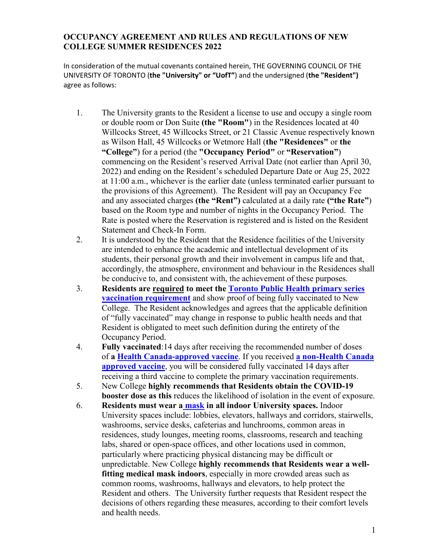## **OCCUPANCY AGREEMENT AND RULES AND REGULATIONS OF NEW COLLEGE SUMMER RESIDENCES 2022**

In consideration of the mutual covenants contained herein, THE GOVERNING COUNCIL OF THE UNIVERSITY OF TORONTO (**the "University" or "UofT"**) and the undersigned (**the "Resident")** agree as follows:

- 1. The University grants to the Resident a license to use and occupy a single room or double room or Don Suite **(the "Room"**) in the Residences located at 40 Willcocks Street, 45 Willcocks Street, or 21 Classic Avenue respectively known as Wilson Hall, 45 Willcocks or Wetmore Hall (**the "Residences"** or **the "College"**) for a period (the **"Occupancy Period"** or **"Reservation"**) commencing on the Resident's reserved Arrival Date (not earlier than April 30, 2022) and ending on the Resident's scheduled Departure Date or Aug 25, 2022 at 11:00 a.m., whichever is the earlier date (unless terminated earlier pursuant to the provisions of this Agreement). The Resident will pay an Occupancy Fee and any associated charges **(the "Rent")** calculated at a daily rate **("the Rate"**) based on the Room type and number of nights in the Occupancy Period. The Rate is posted where the Reservation is registered and is listed on the Resident Statement and Check-In Form.
- 2. It is understood by the Resident that the Residence facilities of the University are intended to enhance the academic and intellectual development of its students, their personal growth and their involvement in campus life and that, accordingly, the atmosphere, environment and behaviour in the Residences shall be conducive to, and consistent with, the achievement of these purposes.
- 3. **Residents are required to meet the [Toronto Public Health primary series](https://www.toronto.ca/home/covid-19/covid-19-vaccines/covid-19-vaccine-eligibility-doses/) [vaccination requirement](https://www.toronto.ca/home/covid-19/covid-19-vaccines/covid-19-vaccine-eligibility-doses/)** and show proof of being fully vaccinated to New College. The Resident acknowledges and agrees that the applicable definition of "fully vaccinated" may change in response to public health needs and that Resident is obligated to meet such definition during the entirety of the Occupancy Period.
- 4. **Fully vaccinated**:14 days after receiving the recommended number of doses of **a [Health Canada-approved vaccine](https://www.canada.ca/en/health-canada/services/drugs-health-products/covid19-industry/drugs-vaccines-treatments/vaccines.html)**. If you received **[a non-Health Canada](https://www.canada.ca/en/public-health/services/diseases/2019-novel-coronavirus-infection/guidance-documents/recommendations-those-vaccinated-with-vaccines-not-authorized-health-canada-staying-canada-live-work-study.html)  [approved vaccine](https://www.canada.ca/en/public-health/services/diseases/2019-novel-coronavirus-infection/guidance-documents/recommendations-those-vaccinated-with-vaccines-not-authorized-health-canada-staying-canada-live-work-study.html)**, you will be considered fully vaccinated 14 days after receiving a third vaccine to complete the primary vaccination requirements.
- 5. New College **highly recommends that Residents obtain the COVID-19 booster dose as this** reduces the likelihood of isolation in the event of exposure.
- 6. **Residents must wear a [mask](https://governingcouncil.utoronto.ca/secretariat/policies/face-masks-policy) in all indoor University spaces.** Indoor University spaces include: lobbies, elevators, hallways and corridors, stairwells, washrooms, service desks, cafeterias and lunchrooms, common areas in residences, study lounges, meeting rooms, classrooms, research and teaching labs, shared or open-space offices, and other locations used in common, particularly where practicing physical distancing may be difficult or unpredictable. New College **highly recommends that Residents wear a wellfitting medical mask indoors**, especially in more crowded areas such as common rooms, washrooms, hallways and elevators, to help protect the Resident and others. The University further requests that Resident respect the decisions of others regarding these measures, according to their comfort levels and health needs.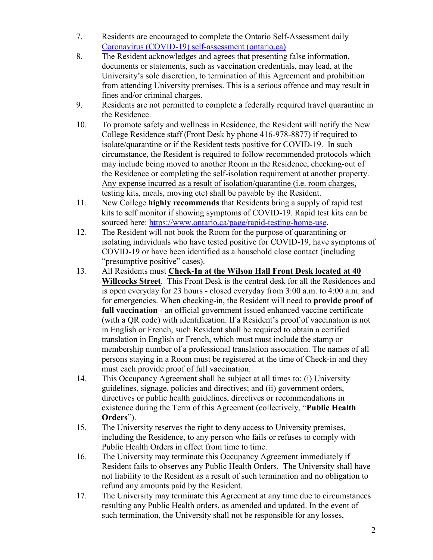- 7. Residents are encouraged to complete the Ontario Self-Assessment daily [Coronavirus \(COVID-19\) self-assessment \(ontario.ca\)](https://covid-19.ontario.ca/self-assessment/)
- 8. The Resident acknowledges and agrees that presenting false information, documents or statements, such as vaccination credentials, may lead, at the University's sole discretion, to termination of this Agreement and prohibition from attending University premises. This is a serious offence and may result in fines and/or criminal charges.
- 9. Residents are not permitted to complete a federally required travel quarantine in the Residence.
- 10. To promote safety and wellness in Residence, the Resident will notify the New College Residence staff (Front Desk by phone 416-978-8877) if required to isolate/quarantine or if the Resident tests positive for COVID-19. In such circumstance, the Resident is required to follow recommended protocols which may include being moved to another Room in the Residence, checking-out of the Residence or completing the self-isolation requirement at another property. Any expense incurred as a result of isolation/quarantine (i.e. room charges, testing kits, meals, moving etc) shall be payable by the Resident.
- 11. New College **highly recommends** that Residents bring a supply of rapid test kits to self monitor if showing symptoms of COVID-19. Rapid test kits can be sourced here: [https://www.ontario.ca/page/rapid-testing-home-use.](https://www.ontario.ca/page/rapid-testing-home-use)
- 12. The Resident will not book the Room for the purpose of quarantining or isolating individuals who have tested positive for COVID-19, have symptoms of COVID-19 or have been identified as a household close contact (including "presumptive positive" cases).
- 13. All Residents must **Check-In at the Wilson Hall Front Desk located at 40 Willcocks Street**. This Front Desk is the central desk for all the Residences and is open everyday for 23 hours - closed everyday from 3:00 a.m. to 4:00 a.m. and for emergencies. When checking-in, the Resident will need to **provide proof of full vaccination** - an official government issued enhanced vaccine certificate (with a QR code) with identification. If a Resident's proof of vaccination is not in English or French, such Resident shall be required to obtain a certified translation in English or French, which must must include the stamp or membership number of a professional translation association. The names of all persons staying in a Room must be registered at the time of Check-in and they must each provide proof of full vaccination.
- 14. This Occupancy Agreement shall be subject at all times to: (i) University guidelines, signage, policies and directives; and (ii) government orders, directives or public health guidelines, directives or recommendations in existence during the Term of this Agreement (collectively, "**Public Health Orders**").
- 15. The University reserves the right to deny access to University premises, including the Residence, to any person who fails or refuses to comply with Public Health Orders in effect from time to time.
- 16. The University may terminate this Occupancy Agreement immediately if Resident fails to observes any Public Health Orders. The University shall have not liability to the Resident as a result of such termination and no obligation to refund any amounts paid by the Resident.
- 17. The University may terminate this Agreement at any time due to circumstances resulting any Public Health orders, as amended and updated. In the event of such termination, the University shall not be responsible for any losses,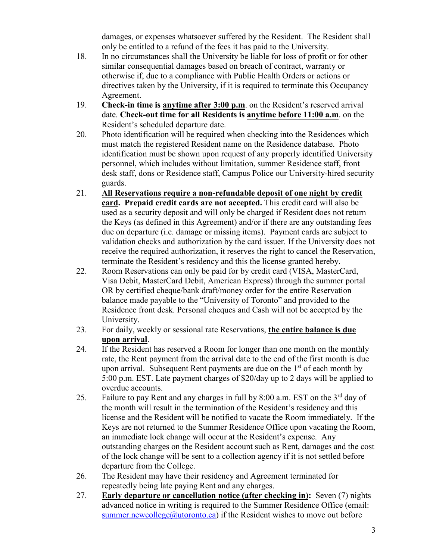damages, or expenses whatsoever suffered by the Resident. The Resident shall only be entitled to a refund of the fees it has paid to the University.

- 18. In no circumstances shall the University be liable for loss of profit or for other similar consequential damages based on breach of contract, warranty or otherwise if, due to a compliance with Public Health Orders or actions or directives taken by the University, if it is required to terminate this Occupancy Agreement.
- 19. **Check-in time is anytime after 3:00 p.m**. on the Resident's reserved arrival date. **Check-out time for all Residents is anytime before 11:00 a.m**. on the Resident's scheduled departure date.
- 20. Photo identification will be required when checking into the Residences which must match the registered Resident name on the Residence database. Photo identification must be shown upon request of any properly identified University personnel, which includes without limitation, summer Residence staff, front desk staff, dons or Residence staff, Campus Police our University-hired security guards.
- 21. **All Reservations require a non-refundable deposit of one night by credit card. Prepaid credit cards are not accepted.** This credit card will also be used as a security deposit and will only be charged if Resident does not return the Keys (as defined in this Agreement) and/or if there are any outstanding fees due on departure (i.e. damage or missing items). Payment cards are subject to validation checks and authorization by the card issuer. If the University does not receive the required authorization, it reserves the right to cancel the Reservation, terminate the Resident's residency and this the license granted hereby.
- 22. Room Reservations can only be paid for by credit card (VISA, MasterCard, Visa Debit, MasterCard Debit, American Express) through the summer portal OR by certified cheque/bank draft/money order for the entire Reservation balance made payable to the "University of Toronto" and provided to the Residence front desk. Personal cheques and Cash will not be accepted by the University.
- 23. For daily, weekly or sessional rate Reservations, **the entire balance is due upon arrival**.
- 24. If the Resident has reserved a Room for longer than one month on the monthly rate, the Rent payment from the arrival date to the end of the first month is due upon arrival. Subsequent Rent payments are due on the  $1<sup>st</sup>$  of each month by 5:00 p.m. EST. Late payment charges of \$20/day up to 2 days will be applied to overdue accounts.
- 25. Failure to pay Rent and any charges in full by  $8:00$  a.m. EST on the  $3<sup>rd</sup>$  day of the month will result in the termination of the Resident's residency and this license and the Resident will be notified to vacate the Room immediately. If the Keys are not returned to the Summer Residence Office upon vacating the Room, an immediate lock change will occur at the Resident's expense. Any outstanding charges on the Resident account such as Rent, damages and the cost of the lock change will be sent to a collection agency if it is not settled before departure from the College.
- 26. The Resident may have their residency and Agreement terminated for repeatedly being late paying Rent and any charges.
- 27. **Early departure or cancellation notice (after checking in):** Seven (7) nights advanced notice in writing is required to the Summer Residence Office (email: [summer.newcollege@utoronto.ca\)](mailto:summer.newcollege@utoronto.ca) if the Resident wishes to move out before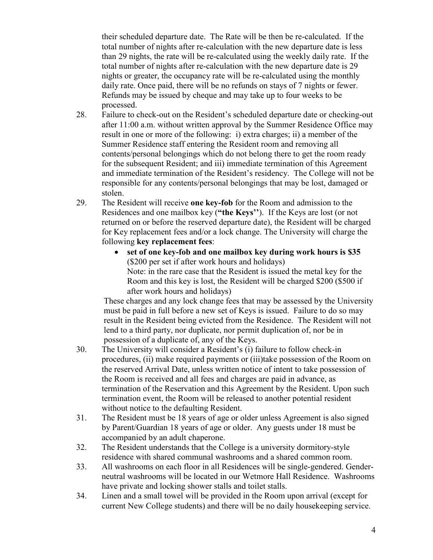their scheduled departure date. The Rate will be then be re-calculated. If the total number of nights after re-calculation with the new departure date is less than 29 nights, the rate will be re-calculated using the weekly daily rate. If the total number of nights after re-calculation with the new departure date is 29 nights or greater, the occupancy rate will be re-calculated using the monthly daily rate. Once paid, there will be no refunds on stays of 7 nights or fewer. Refunds may be issued by cheque and may take up to four weeks to be processed.

- 28. Failure to check-out on the Resident's scheduled departure date or checking-out after 11:00 a.m. without written approval by the Summer Residence Office may result in one or more of the following: i) extra charges; ii) a member of the Summer Residence staff entering the Resident room and removing all contents/personal belongings which do not belong there to get the room ready for the subsequent Resident; and iii) immediate termination of this Agreement and immediate termination of the Resident's residency. The College will not be responsible for any contents/personal belongings that may be lost, damaged or stolen.
- 29. The Resident will receive **one key-fob** for the Room and admission to the Residences and one mailbox key (**"the Keys''**). If the Keys are lost (or not returned on or before the reserved departure date), the Resident will be charged for Key replacement fees and/or a lock change. The University will charge the following **key replacement fees**:
	- **set of one key-fob and one mailbox key during work hours is \$35** (\$200 per set if after work hours and holidays) Note: in the rare case that the Resident is issued the metal key for the Room and this key is lost, the Resident will be charged \$200 (\$500 if after work hours and holidays)

These charges and any lock change fees that may be assessed by the University must be paid in full before a new set of Keys is issued. Failure to do so may result in the Resident being evicted from the Residence. The Resident will not lend to a third party, nor duplicate, nor permit duplication of, nor be in possession of a duplicate of, any of the Keys.

- 30. The University will consider a Resident's (i) failure to follow check-in procedures, (ii) make required payments or (iii)take possession of the Room on the reserved Arrival Date, unless written notice of intent to take possession of the Room is received and all fees and charges are paid in advance, as termination of the Reservation and this Agreement by the Resident. Upon such termination event, the Room will be released to another potential resident without notice to the defaulting Resident.
- 31. The Resident must be 18 years of age or older unless Agreement is also signed by Parent/Guardian 18 years of age or older. Any guests under 18 must be accompanied by an adult chaperone.
- 32. The Resident understands that the College is a university dormitory-style residence with shared communal washrooms and a shared common room.
- 33. All washrooms on each floor in all Residences will be single-gendered. Genderneutral washrooms will be located in our Wetmore Hall Residence. Washrooms have private and locking shower stalls and toilet stalls.
- 34. Linen and a small towel will be provided in the Room upon arrival (except for current New College students) and there will be no daily housekeeping service.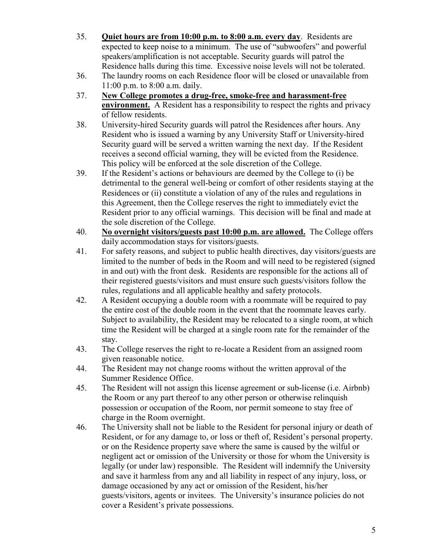- 35. **Quiet hours are from 10:00 p.m. to 8:00 a.m. every day**. Residents are expected to keep noise to a minimum. The use of "subwoofers" and powerful speakers/amplification is not acceptable. Security guards will patrol the Residence halls during this time. Excessive noise levels will not be tolerated.
- 36. The laundry rooms on each Residence floor will be closed or unavailable from 11:00 p.m. to 8:00 a.m. daily.
- 37. **New College promotes a drug-free, smoke-free and harassment-free environment.** A Resident has a responsibility to respect the rights and privacy of fellow residents.
- 38. University-hired Security guards will patrol the Residences after hours. Any Resident who is issued a warning by any University Staff or University-hired Security guard will be served a written warning the next day. If the Resident receives a second official warning, they will be evicted from the Residence. This policy will be enforced at the sole discretion of the College.
- 39. If the Resident's actions or behaviours are deemed by the College to (i) be detrimental to the general well-being or comfort of other residents staying at the Residences or (ii) constitute a violation of any of the rules and regulations in this Agreement, then the College reserves the right to immediately evict the Resident prior to any official warnings. This decision will be final and made at the sole discretion of the College.
- 40. **No overnight visitors/guests past 10:00 p.m. are allowed.** The College offers daily accommodation stays for visitors/guests.
- 41. For safety reasons, and subject to public health directives, day visitors/guests are limited to the number of beds in the Room and will need to be registered (signed in and out) with the front desk. Residents are responsible for the actions all of their registered guests/visitors and must ensure such guests/visitors follow the rules, regulations and all applicable healthy and safety protocols.
- 42. A Resident occupying a double room with a roommate will be required to pay the entire cost of the double room in the event that the roommate leaves early. Subject to availability, the Resident may be relocated to a single room, at which time the Resident will be charged at a single room rate for the remainder of the stay.
- 43. The College reserves the right to re-locate a Resident from an assigned room given reasonable notice.
- 44. The Resident may not change rooms without the written approval of the Summer Residence Office.
- 45. The Resident will not assign this license agreement or sub-license (i.e. Airbnb) the Room or any part thereof to any other person or otherwise relinquish possession or occupation of the Room, nor permit someone to stay free of charge in the Room overnight.
- 46. The University shall not be liable to the Resident for personal injury or death of Resident, or for any damage to, or loss or theft of, Resident's personal property. or on the Residence property save where the same is caused by the wilful or negligent act or omission of the University or those for whom the University is legally (or under law) responsible. The Resident will indemnify the University and save it harmless from any and all liability in respect of any injury, loss, or damage occasioned by any act or omission of the Resident, his/her guests/visitors, agents or invitees. The University's insurance policies do not cover a Resident's private possessions.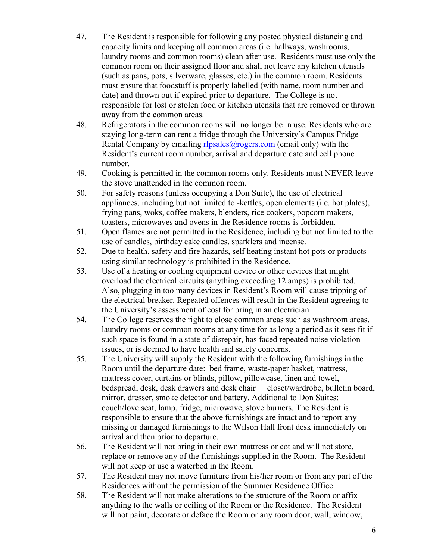- 47. The Resident is responsible for following any posted physical distancing and capacity limits and keeping all common areas (i.e. hallways, washrooms, laundry rooms and common rooms) clean after use. Residents must use only the common room on their assigned floor and shall not leave any kitchen utensils (such as pans, pots, silverware, glasses, etc.) in the common room. Residents must ensure that foodstuff is properly labelled (with name, room number and date) and thrown out if expired prior to departure. The College is not responsible for lost or stolen food or kitchen utensils that are removed or thrown away from the common areas.
- 48. Refrigerators in the common rooms will no longer be in use. Residents who are staying long-term can rent a fridge through the University's Campus Fridge Rental Company by emailing  $rlyl{ }p$ sales@rogers.com (email only) with the Resident's current room number, arrival and departure date and cell phone number.
- 49. Cooking is permitted in the common rooms only. Residents must NEVER leave the stove unattended in the common room.
- 50. For safety reasons (unless occupying a Don Suite), the use of electrical appliances, including but not limited to -kettles, open elements (i.e. hot plates), frying pans, woks, coffee makers, blenders, rice cookers, popcorn makers, toasters, microwaves and ovens in the Residence rooms is forbidden.
- 51. Open flames are not permitted in the Residence, including but not limited to the use of candles, birthday cake candles, sparklers and incense.
- 52. Due to health, safety and fire hazards, self heating instant hot pots or products using similar technology is prohibited in the Residence.
- 53. Use of a heating or cooling equipment device or other devices that might overload the electrical circuits (anything exceeding 12 amps) is prohibited. Also, plugging in too many devices in Resident's Room will cause tripping of the electrical breaker. Repeated offences will result in the Resident agreeing to the University's assessment of cost for bring in an electrician
- 54. The College reserves the right to close common areas such as washroom areas, laundry rooms or common rooms at any time for as long a period as it sees fit if such space is found in a state of disrepair, has faced repeated noise violation issues, or is deemed to have health and safety concerns.
- 55. The University will supply the Resident with the following furnishings in the Room until the departure date: bed frame, waste-paper basket, mattress, mattress cover, curtains or blinds, pillow, pillowcase, linen and towel, bedspread, desk, desk drawers and desk chair closet/wardrobe, bulletin board, mirror, dresser, smoke detector and battery. Additional to Don Suites: couch/love seat, lamp, fridge, microwave, stove burners. The Resident is responsible to ensure that the above furnishings are intact and to report any missing or damaged furnishings to the Wilson Hall front desk immediately on arrival and then prior to departure.
- 56. The Resident will not bring in their own mattress or cot and will not store, replace or remove any of the furnishings supplied in the Room. The Resident will not keep or use a waterbed in the Room.
- 57. The Resident may not move furniture from his/her room or from any part of the Residences without the permission of the Summer Residence Office.
- 58. The Resident will not make alterations to the structure of the Room or affix anything to the walls or ceiling of the Room or the Residence. The Resident will not paint, decorate or deface the Room or any room door, wall, window,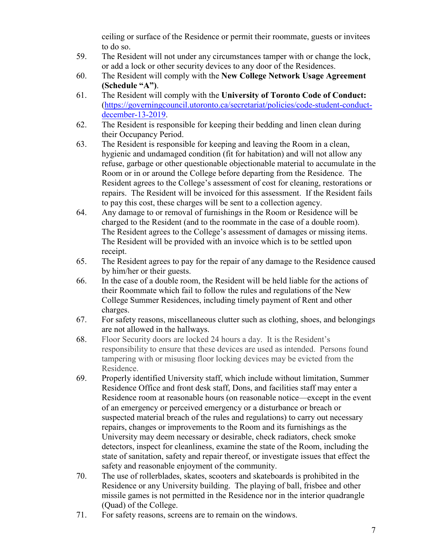ceiling or surface of the Residence or permit their roommate, guests or invitees to do so.

- 59. The Resident will not under any circumstances tamper with or change the lock, or add a lock or other security devices to any door of the Residences.
- 60. The Resident will comply with the **New College Network Usage Agreement (Schedule "A")**.
- 61. The Resident will comply with the **University of Toronto Code of Conduct:** [\(https://governingcouncil.utoronto.ca/secretariat/policies/code-student-conduct](https://governingcouncil.utoronto.ca/secretariat/policies/code-student-conduct-december-13-2019)[december-13-2019.](https://governingcouncil.utoronto.ca/secretariat/policies/code-student-conduct-december-13-2019)
- 62. The Resident is responsible for keeping their bedding and linen clean during their Occupancy Period.
- 63. The Resident is responsible for keeping and leaving the Room in a clean, hygienic and undamaged condition (fit for habitation) and will not allow any refuse, garbage or other questionable objectionable material to accumulate in the Room or in or around the College before departing from the Residence. The Resident agrees to the College's assessment of cost for cleaning, restorations or repairs. The Resident will be invoiced for this assessment. If the Resident fails to pay this cost, these charges will be sent to a collection agency.
- 64. Any damage to or removal of furnishings in the Room or Residence will be charged to the Resident (and to the roommate in the case of a double room). The Resident agrees to the College's assessment of damages or missing items. The Resident will be provided with an invoice which is to be settled upon receipt.
- 65. The Resident agrees to pay for the repair of any damage to the Residence caused by him/her or their guests.
- 66. In the case of a double room, the Resident will be held liable for the actions of their Roommate which fail to follow the rules and regulations of the New College Summer Residences, including timely payment of Rent and other charges.
- 67. For safety reasons, miscellaneous clutter such as clothing, shoes, and belongings are not allowed in the hallways.
- 68. Floor Security doors are locked 24 hours a day. It is the Resident's responsibility to ensure that these devices are used as intended. Persons found tampering with or misusing floor locking devices may be evicted from the Residence.
- 69. Properly identified University staff, which include without limitation, Summer Residence Office and front desk staff, Dons, and facilities staff may enter a Residence room at reasonable hours (on reasonable notice—except in the event of an emergency or perceived emergency or a disturbance or breach or suspected material breach of the rules and regulations) to carry out necessary repairs, changes or improvements to the Room and its furnishings as the University may deem necessary or desirable, check radiators, check smoke detectors, inspect for cleanliness, examine the state of the Room, including the state of sanitation, safety and repair thereof, or investigate issues that effect the safety and reasonable enjoyment of the community.
- 70. The use of rollerblades, skates, scooters and skateboards is prohibited in the Residence or any University building. The playing of ball, frisbee and other missile games is not permitted in the Residence nor in the interior quadrangle (Quad) of the College.
- 71. For safety reasons, screens are to remain on the windows.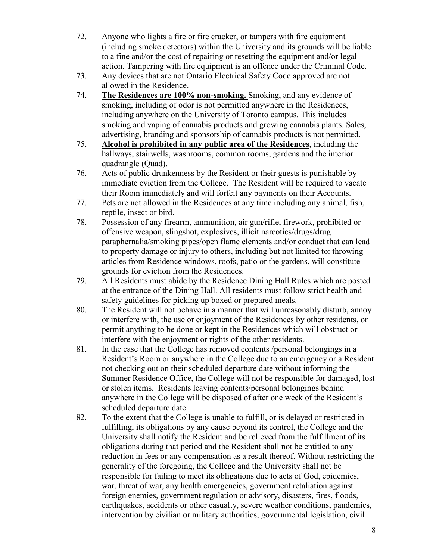- 72. Anyone who lights a fire or fire cracker, or tampers with fire equipment (including smoke detectors) within the University and its grounds will be liable to a fine and/or the cost of repairing or resetting the equipment and/or legal action. Tampering with fire equipment is an offence under the Criminal Code.
- 73. Any devices that are not Ontario Electrical Safety Code approved are not allowed in the Residence.
- 74. **The Residences are 100% non-smoking.** Smoking, and any evidence of smoking, including of odor is not permitted anywhere in the Residences, including anywhere on the University of Toronto campus. This includes smoking and vaping of cannabis products and growing cannabis plants. Sales, advertising, branding and sponsorship of cannabis products is not permitted.
- 75. **Alcohol is prohibited in any public area of the Residences**, including the hallways, stairwells, washrooms, common rooms, gardens and the interior quadrangle (Quad).
- 76. Acts of public drunkenness by the Resident or their guests is punishable by immediate eviction from the College. The Resident will be required to vacate their Room immediately and will forfeit any payments on their Accounts.
- 77. Pets are not allowed in the Residences at any time including any animal, fish, reptile, insect or bird.
- 78. Possession of any firearm, ammunition, air gun/rifle, firework, prohibited or offensive weapon, slingshot, explosives, illicit narcotics/drugs/drug paraphernalia/smoking pipes/open flame elements and/or conduct that can lead to property damage or injury to others, including but not limited to: throwing articles from Residence windows, roofs, patio or the gardens, will constitute grounds for eviction from the Residences.
- 79. All Residents must abide by the Residence Dining Hall Rules which are posted at the entrance of the Dining Hall. All residents must follow strict health and safety guidelines for picking up boxed or prepared meals.
- 80. The Resident will not behave in a manner that will unreasonably disturb, annoy or interfere with, the use or enjoyment of the Residences by other residents, or permit anything to be done or kept in the Residences which will obstruct or interfere with the enjoyment or rights of the other residents.
- 81. In the case that the College has removed contents /personal belongings in a Resident's Room or anywhere in the College due to an emergency or a Resident not checking out on their scheduled departure date without informing the Summer Residence Office, the College will not be responsible for damaged, lost or stolen items. Residents leaving contents/personal belongings behind anywhere in the College will be disposed of after one week of the Resident's scheduled departure date.
- 82. To the extent that the College is unable to fulfill, or is delayed or restricted in fulfilling, its obligations by any cause beyond its control, the College and the University shall notify the Resident and be relieved from the fulfillment of its obligations during that period and the Resident shall not be entitled to any reduction in fees or any compensation as a result thereof. Without restricting the generality of the foregoing, the College and the University shall not be responsible for failing to meet its obligations due to acts of God, epidemics, war, threat of war, any health emergencies, government retaliation against foreign enemies, government regulation or advisory, disasters, fires, floods, earthquakes, accidents or other casualty, severe weather conditions, pandemics, intervention by civilian or military authorities, governmental legislation, civil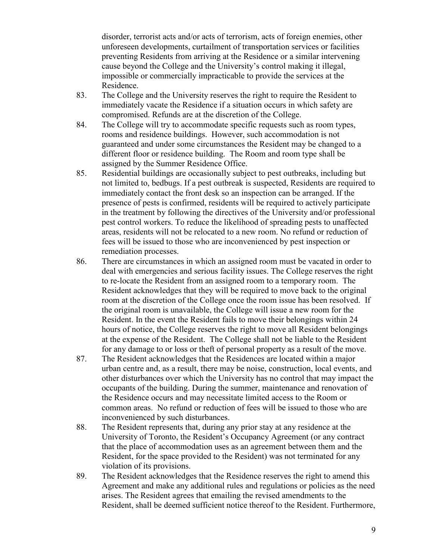disorder, terrorist acts and/or acts of terrorism, acts of foreign enemies, other unforeseen developments, curtailment of transportation services or facilities preventing Residents from arriving at the Residence or a similar intervening cause beyond the College and the University's control making it illegal, impossible or commercially impracticable to provide the services at the Residence.

- 83. The College and the University reserves the right to require the Resident to immediately vacate the Residence if a situation occurs in which safety are compromised. Refunds are at the discretion of the College.
- 84. The College will try to accommodate specific requests such as room types, rooms and residence buildings. However, such accommodation is not guaranteed and under some circumstances the Resident may be changed to a different floor or residence building. The Room and room type shall be assigned by the Summer Residence Office.
- 85. Residential buildings are occasionally subject to pest outbreaks, including but not limited to, bedbugs. If a pest outbreak is suspected, Residents are required to immediately contact the front desk so an inspection can be arranged. If the presence of pests is confirmed, residents will be required to actively participate in the treatment by following the directives of the University and/or professional pest control workers. To reduce the likelihood of spreading pests to unaffected areas, residents will not be relocated to a new room. No refund or reduction of fees will be issued to those who are inconvenienced by pest inspection or remediation processes.
- 86. There are circumstances in which an assigned room must be vacated in order to deal with emergencies and serious facility issues. The College reserves the right to re-locate the Resident from an assigned room to a temporary room. The Resident acknowledges that they will be required to move back to the original room at the discretion of the College once the room issue has been resolved. If the original room is unavailable, the College will issue a new room for the Resident. In the event the Resident fails to move their belongings within 24 hours of notice, the College reserves the right to move all Resident belongings at the expense of the Resident. The College shall not be liable to the Resident for any damage to or loss or theft of personal property as a result of the move.
- 87. The Resident acknowledges that the Residences are located within a major urban centre and, as a result, there may be noise, construction, local events, and other disturbances over which the University has no control that may impact the occupants of the building. During the summer, maintenance and renovation of the Residence occurs and may necessitate limited access to the Room or common areas. No refund or reduction of fees will be issued to those who are inconvenienced by such disturbances.
- 88. The Resident represents that, during any prior stay at any residence at the University of Toronto, the Resident's Occupancy Agreement (or any contract that the place of accommodation uses as an agreement between them and the Resident, for the space provided to the Resident) was not terminated for any violation of its provisions.
- 89. The Resident acknowledges that the Residence reserves the right to amend this Agreement and make any additional rules and regulations or policies as the need arises. The Resident agrees that emailing the revised amendments to the Resident, shall be deemed sufficient notice thereof to the Resident. Furthermore,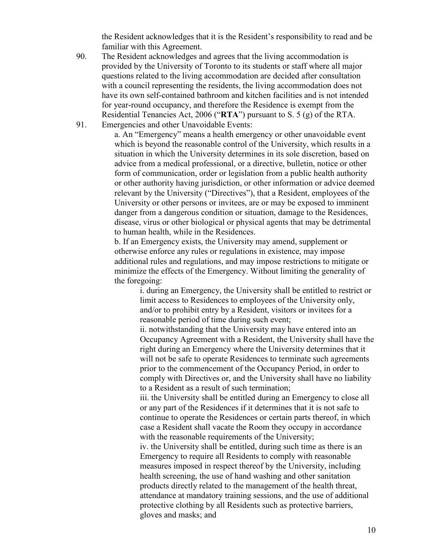the Resident acknowledges that it is the Resident's responsibility to read and be familiar with this Agreement.

- 90. The Resident acknowledges and agrees that the living accommodation is provided by the University of Toronto to its students or staff where all major questions related to the living accommodation are decided after consultation with a council representing the residents, the living accommodation does not have its own self-contained bathroom and kitchen facilities and is not intended for year-round occupancy, and therefore the Residence is exempt from the Residential Tenancies Act, 2006 ("**RTA**") pursuant to S. 5 (g) of the RTA.
- 91. Emergencies and other Unavoidable Events:

a. An "Emergency" means a health emergency or other unavoidable event which is beyond the reasonable control of the University, which results in a situation in which the University determines in its sole discretion, based on advice from a medical professional, or a directive, bulletin, notice or other form of communication, order or legislation from a public health authority or other authority having jurisdiction, or other information or advice deemed relevant by the University ("Directives"), that a Resident, employees of the University or other persons or invitees, are or may be exposed to imminent danger from a dangerous condition or situation, damage to the Residences, disease, virus or other biological or physical agents that may be detrimental to human health, while in the Residences.

b. If an Emergency exists, the University may amend, supplement or otherwise enforce any rules or regulations in existence, may impose additional rules and regulations, and may impose restrictions to mitigate or minimize the effects of the Emergency. Without limiting the generality of the foregoing:

i. during an Emergency, the University shall be entitled to restrict or limit access to Residences to employees of the University only, and/or to prohibit entry by a Resident, visitors or invitees for a reasonable period of time during such event;

ii. notwithstanding that the University may have entered into an Occupancy Agreement with a Resident, the University shall have the right during an Emergency where the University determines that it will not be safe to operate Residences to terminate such agreements prior to the commencement of the Occupancy Period, in order to comply with Directives or, and the University shall have no liability to a Resident as a result of such termination;

iii. the University shall be entitled during an Emergency to close all or any part of the Residences if it determines that it is not safe to continue to operate the Residences or certain parts thereof, in which case a Resident shall vacate the Room they occupy in accordance with the reasonable requirements of the University;

iv. the University shall be entitled, during such time as there is an Emergency to require all Residents to comply with reasonable measures imposed in respect thereof by the University, including health screening, the use of hand washing and other sanitation products directly related to the management of the health threat, attendance at mandatory training sessions, and the use of additional protective clothing by all Residents such as protective barriers, gloves and masks; and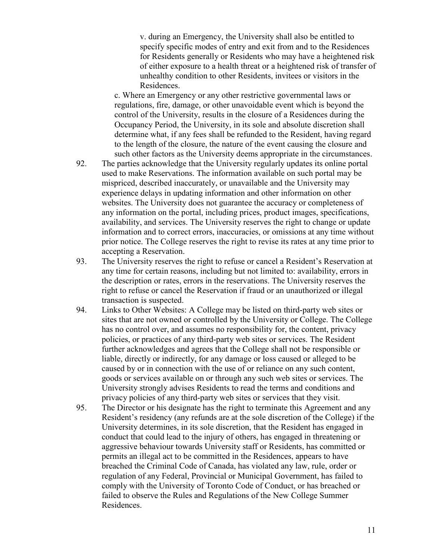v. during an Emergency, the University shall also be entitled to specify specific modes of entry and exit from and to the Residences for Residents generally or Residents who may have a heightened risk of either exposure to a health threat or a heightened risk of transfer of unhealthy condition to other Residents, invitees or visitors in the Residences.

c. Where an Emergency or any other restrictive governmental laws or regulations, fire, damage, or other unavoidable event which is beyond the control of the University, results in the closure of a Residences during the Occupancy Period, the University, in its sole and absolute discretion shall determine what, if any fees shall be refunded to the Resident, having regard to the length of the closure, the nature of the event causing the closure and such other factors as the University deems appropriate in the circumstances.

- 92. The parties acknowledge that the University regularly updates its online portal used to make Reservations. The information available on such portal may be mispriced, described inaccurately, or unavailable and the University may experience delays in updating information and other information on other websites. The University does not guarantee the accuracy or completeness of any information on the portal, including prices, product images, specifications, availability, and services. The University reserves the right to change or update information and to correct errors, inaccuracies, or omissions at any time without prior notice. The College reserves the right to revise its rates at any time prior to accepting a Reservation.
- 93. The University reserves the right to refuse or cancel a Resident's Reservation at any time for certain reasons, including but not limited to: availability, errors in the description or rates, errors in the reservations. The University reserves the right to refuse or cancel the Reservation if fraud or an unauthorized or illegal transaction is suspected.
- 94. Links to Other Websites: A College may be listed on third-party web sites or sites that are not owned or controlled by the University or College. The College has no control over, and assumes no responsibility for, the content, privacy policies, or practices of any third-party web sites or services. The Resident further acknowledges and agrees that the College shall not be responsible or liable, directly or indirectly, for any damage or loss caused or alleged to be caused by or in connection with the use of or reliance on any such content, goods or services available on or through any such web sites or services. The University strongly advises Residents to read the terms and conditions and privacy policies of any third-party web sites or services that they visit.
- 95. The Director or his designate has the right to terminate this Agreement and any Resident's residency (any refunds are at the sole discretion of the College) if the University determines, in its sole discretion, that the Resident has engaged in conduct that could lead to the injury of others, has engaged in threatening or aggressive behaviour towards University staff or Residents, has committed or permits an illegal act to be committed in the Residences, appears to have breached the Criminal Code of Canada, has violated any law, rule, order or regulation of any Federal, Provincial or Municipal Government, has failed to comply with the University of Toronto Code of Conduct, or has breached or failed to observe the Rules and Regulations of the New College Summer Residences.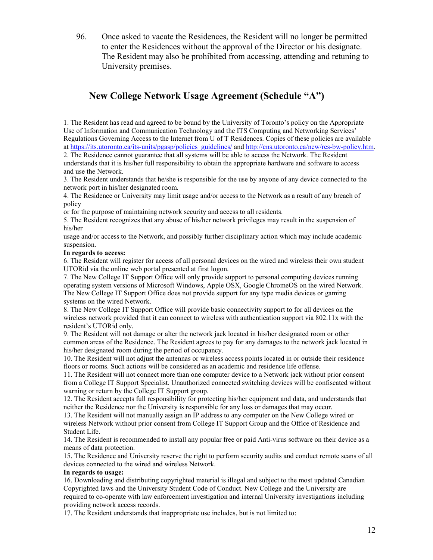96. Once asked to vacate the Residences, the Resident will no longer be permitted to enter the Residences without the approval of the Director or his designate. The Resident may also be prohibited from accessing, attending and retuning to University premises.

## **New College Network Usage Agreement (Schedule "A")**

1. The Resident has read and agreed to be bound by the University of Toronto's policy on the Appropriate Use of Information and Communication Technology and the ITS Computing and Networking Services' Regulations Governing Access to the Internet from U of T Residences. Copies of these policies are available a[t https://its.utoronto.ca/its-units/pgasp/policies\\_guidelines/](https://its.utoronto.ca/its-units/pgasp/policies_guidelines/) and [http://cns.utoronto.ca/new/res-bw-policy.htm.](http://cns.utoronto.ca/new/res-bw-policy.htm)

2. The Residence cannot guarantee that all systems will be able to access the Network. The Resident understands that it is his/her full responsibility to obtain the appropriate hardware and software to access and use the Network.

3. The Resident understands that he/she is responsible for the use by anyone of any device connected to the network port in his/her designated room.

4. The Residence or University may limit usage and/or access to the Network as a result of any breach of policy

or for the purpose of maintaining network security and access to all residents.

5. The Resident recognizes that any abuse of his/her network privileges may result in the suspension of his/her

usage and/or access to the Network, and possibly further disciplinary action which may include academic suspension.

## **In regards to access:**

6. The Resident will register for access of all personal devices on the wired and wireless their own student UTORid via the online web portal presented at first logon.

7. The New College IT Support Office will only provide support to personal computing devices running operating system versions of Microsoft Windows, Apple OSX, Google ChromeOS on the wired Network. The New College IT Support Office does not provide support for any type media devices or gaming systems on the wired Network.

8. The New College IT Support Office will provide basic connectivity support to for all devices on the wireless network provided that it can connect to wireless with authentication support via 802.11x with the resident's UTORid only.

9. The Resident will not damage or alter the network jack located in his/her designated room or other common areas of the Residence. The Resident agrees to pay for any damages to the network jack located in his/her designated room during the period of occupancy.

10. The Resident will not adjust the antennas or wireless access points located in or outside their residence floors or rooms. Such actions will be considered as an academic and residence life offense.

11. The Resident will not connect more than one computer device to a Network jack without prior consent from a College IT Support Specialist. Unauthorized connected switching devices will be confiscated without warning or return by the College IT Support group.

12. The Resident accepts full responsibility for protecting his/her equipment and data, and understands that neither the Residence nor the University is responsible for any loss or damages that may occur.

13. The Resident will not manually assign an IP address to any computer on the New College wired or wireless Network without prior consent from College IT Support Group and the Office of Residence and Student Life.

14. The Resident is recommended to install any popular free or paid Anti-virus software on their device as a means of data protection.

15. The Residence and University reserve the right to perform security audits and conduct remote scans of all devices connected to the wired and wireless Network.

## **In regards to usage:**

16. Downloading and distributing copyrighted material is illegal and subject to the most updated Canadian Copyrighted laws and the University Student Code of Conduct. New College and the University are required to co-operate with law enforcement investigation and internal University investigations including providing network access records.

17. The Resident understands that inappropriate use includes, but is not limited to: